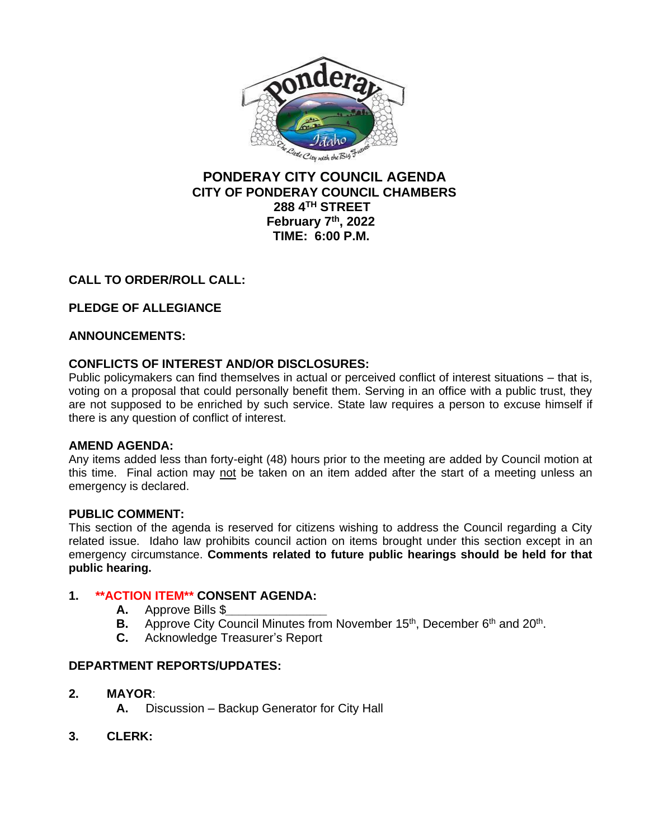

## **PONDERAY CITY COUNCIL AGENDA CITY OF PONDERAY COUNCIL CHAMBERS 288 4TH STREET February 7 th, 2022 TIME: 6:00 P.M.**

# **CALL TO ORDER/ROLL CALL:**

# **PLEDGE OF ALLEGIANCE**

## **ANNOUNCEMENTS:**

## **CONFLICTS OF INTEREST AND/OR DISCLOSURES:**

Public policymakers can find themselves in actual or perceived conflict of interest situations – that is, voting on a proposal that could personally benefit them. Serving in an office with a public trust, they are not supposed to be enriched by such service. State law requires a person to excuse himself if there is any question of conflict of interest.

#### **AMEND AGENDA:**

Any items added less than forty-eight (48) hours prior to the meeting are added by Council motion at this time. Final action may not be taken on an item added after the start of a meeting unless an emergency is declared.

#### **PUBLIC COMMENT:**

This section of the agenda is reserved for citizens wishing to address the Council regarding a City related issue. Idaho law prohibits council action on items brought under this section except in an emergency circumstance. **Comments related to future public hearings should be held for that public hearing.**

#### **1. \*\*ACTION ITEM\*\* CONSENT AGENDA:**

- **A.** Approve Bills \$*\_\_\_\_\_\_\_\_\_\_\_\_\_\_\_*
- **B.** Approve City Council Minutes from November 15<sup>th</sup>, December 6<sup>th</sup> and 20<sup>th</sup>.
- **C.** Acknowledge Treasurer's Report

#### **DEPARTMENT REPORTS/UPDATES:**

- **2. MAYOR**:
	- **A.** Discussion Backup Generator for City Hall
- **3. CLERK:**